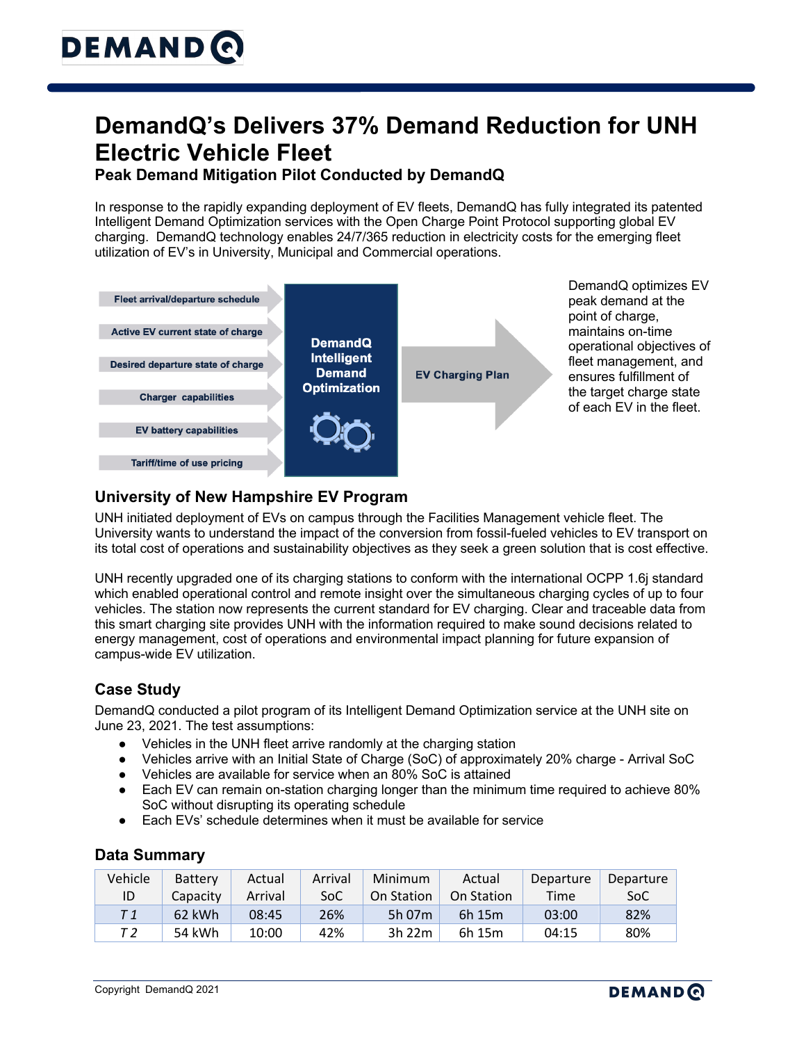# **DemandQ's Delivers 37% Demand Reduction for UNH Electric Vehicle Fleet**

### **Peak Demand Mitigation Pilot Conducted by DemandQ**

In response to the rapidly expanding deployment of EV fleets, DemandQ has fully integrated its patented Intelligent Demand Optimization services with the Open Charge Point Protocol supporting global EV charging. DemandQ technology enables 24/7/365 reduction in electricity costs for the emerging fleet utilization of EV's in University, Municipal and Commercial operations.



### **University of New Hampshire EV Program**

UNH initiated deployment of EVs on campus through the Facilities Management vehicle fleet. The University wants to understand the impact of the conversion from fossil-fueled vehicles to EV transport on its total cost of operations and sustainability objectives as they seek a green solution that is cost effective.

UNH recently upgraded one of its charging stations to conform with the international OCPP 1.6j standard which enabled operational control and remote insight over the simultaneous charging cycles of up to four vehicles. The station now represents the current standard for EV charging. Clear and traceable data from this smart charging site provides UNH with the information required to make sound decisions related to energy management, cost of operations and environmental impact planning for future expansion of campus-wide EV utilization.

## **Case Study**

DemandQ conducted a pilot program of its Intelligent Demand Optimization service at the UNH site on June 23, 2021. The test assumptions:

- Vehicles in the UNH fleet arrive randomly at the charging station
- Vehicles arrive with an Initial State of Charge (SoC) of approximately 20% charge Arrival SoC
- Vehicles are available for service when an 80% SoC is attained
- Each EV can remain on-station charging longer than the minimum time required to achieve 80% SoC without disrupting its operating schedule
- Each EVs' schedule determines when it must be available for service

#### **Data Summary**

| Vehicle | <b>Battery</b> | Actual  | Arrival | Minimum    | Actual     | Departure | Departure |
|---------|----------------|---------|---------|------------|------------|-----------|-----------|
| ID      | Capacity       | Arrival | SoC     | On Station | On Station | Time      | SoC       |
| T 1     | 62 kWh         | 08:45   | 26%     | 5h 07m     | 6h 15m     | 03:00     | 82%       |
| Т2      | 54 kWh         | 10:00   | 42%     | 3h 22m     | 6h 15m     | 04:15     | 80%       |